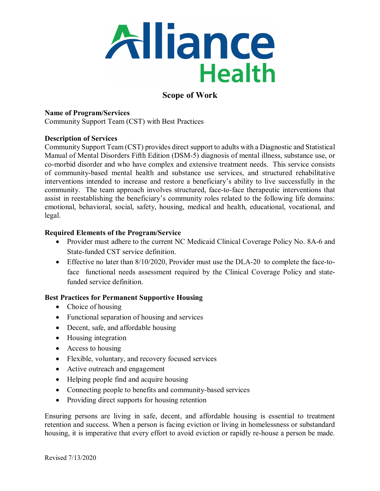

# **Scope of Work**

### **Name of Program/Services**

Community Support Team (CST) with Best Practices

### **Description of Services**

Community Support Team (CST) provides direct support to adults with a Diagnostic and Statistical Manual of Mental Disorders Fifth Edition (DSM-5) diagnosis of mental illness, substance use, or co-morbid disorder and who have complex and extensive treatment needs. This service consists of community-based mental health and substance use services, and structured rehabilitative interventions intended to increase and restore a beneficiary's ability to live successfully in the community. The team approach involves structured, face-to-face therapeutic interventions that assist in reestablishing the beneficiary's community roles related to the following life domains: emotional, behavioral, social, safety, housing, medical and health, educational, vocational, and legal.

### **Required Elements of the Program/Service**

- Provider must adhere to the current NC Medicaid Clinical Coverage Policy No. 8A-6 and State-funded CST service definition.
- Effective no later than 8/10/2020, Provider must use the DLA-20 to complete the face-toface functional needs assessment required by the Clinical Coverage Policy and statefunded service definition.

### **Best Practices for Permanent Supportive Housing**

- Choice of housing
- Functional separation of housing and services
- Decent, safe, and affordable housing
- Housing integration
- Access to housing
- Flexible, voluntary, and recovery focused services
- Active outreach and engagement
- Helping people find and acquire housing
- Connecting people to benefits and community-based services
- Providing direct supports for housing retention

Ensuring persons are living in safe, decent, and affordable housing is essential to treatment retention and success. When a person is facing eviction or living in homelessness or substandard housing, it is imperative that every effort to avoid eviction or rapidly re-house a person be made.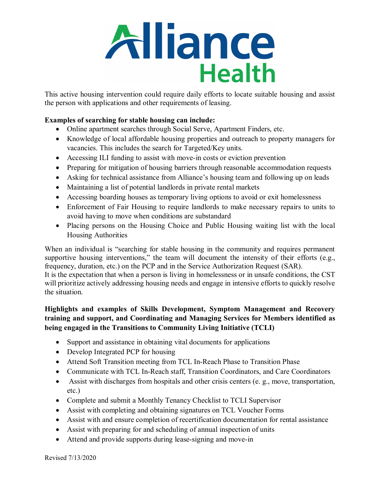

This active housing intervention could require daily efforts to locate suitable housing and assist the person with applications and other requirements of leasing.

## **Examples of searching for stable housing can include:**

- Online apartment searches through Social Serve, Apartment Finders, etc.
- Knowledge of local affordable housing properties and outreach to property managers for vacancies. This includes the search for Targeted/Key units.
- Accessing ILI funding to assist with move-in costs or eviction prevention
- Preparing for mitigation of housing barriers through reasonable accommodation requests
- Asking for technical assistance from Alliance's housing team and following up on leads
- Maintaining a list of potential landlords in private rental markets
- Accessing boarding houses as temporary living options to avoid or exit homelessness
- Enforcement of Fair Housing to require landlords to make necessary repairs to units to avoid having to move when conditions are substandard
- Placing persons on the Housing Choice and Public Housing waiting list with the local Housing Authorities

When an individual is "searching for stable housing in the community and requires permanent supportive housing interventions," the team will document the intensity of their efforts (e.g., frequency, duration, etc.) on the PCP and in the Service Authorization Request (SAR).

It is the expectation that when a person is living in homelessness or in unsafe conditions, the CST will prioritize actively addressing housing needs and engage in intensive efforts to quickly resolve the situation.

## **Highlights and examples of Skills Development, Symptom Management and Recovery training and support, and Coordinating and Managing Services for Members identified as being engaged in the Transitions to Community Living Initiative (TCLI)**

- Support and assistance in obtaining vital documents for applications
- Develop Integrated PCP for housing
- Attend Soft Transition meeting from TCL In-Reach Phase to Transition Phase
- Communicate with TCL In-Reach staff, Transition Coordinators, and Care Coordinators
- Assist with discharges from hospitals and other crisis centers (e. g., move, transportation, etc.)
- Complete and submit a Monthly Tenancy Checklist to TCLI Supervisor
- Assist with completing and obtaining signatures on TCL Voucher Forms
- Assist with and ensure completion of recertification documentation for rental assistance
- Assist with preparing for and scheduling of annual inspection of units
- Attend and provide supports during lease-signing and move-in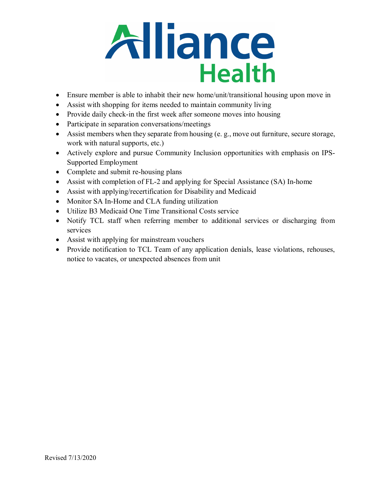

- Ensure member is able to inhabit their new home/unit/transitional housing upon move in
- Assist with shopping for items needed to maintain community living
- Provide daily check-in the first week after someone moves into housing
- Participate in separation conversations/meetings
- Assist members when they separate from housing (e. g., move out furniture, secure storage, work with natural supports, etc.)
- Actively explore and pursue Community Inclusion opportunities with emphasis on IPS-Supported Employment
- Complete and submit re-housing plans
- Assist with completion of FL-2 and applying for Special Assistance (SA) In-home
- Assist with applying/recertification for Disability and Medicaid
- Monitor SA In-Home and CLA funding utilization
- Utilize B3 Medicaid One Time Transitional Costs service
- Notify TCL staff when referring member to additional services or discharging from services
- Assist with applying for mainstream vouchers
- Provide notification to TCL Team of any application denials, lease violations, rehouses, notice to vacates, or unexpected absences from unit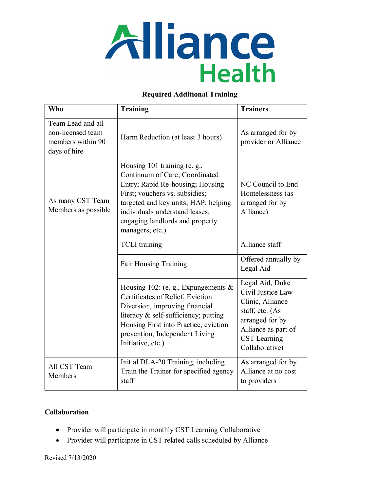

### **Required Additional Training**

| <b>Who</b>                                                                  | <b>Training</b>                                                                                                                                                                                                                                                      | <b>Trainers</b>                                                                                                                                         |
|-----------------------------------------------------------------------------|----------------------------------------------------------------------------------------------------------------------------------------------------------------------------------------------------------------------------------------------------------------------|---------------------------------------------------------------------------------------------------------------------------------------------------------|
| Team Lead and all<br>non-licensed team<br>members within 90<br>days of hire | Harm Reduction (at least 3 hours)                                                                                                                                                                                                                                    | As arranged for by<br>provider or Alliance                                                                                                              |
| As many CST Team<br>Members as possible                                     | Housing 101 training (e. g.,<br>Continuum of Care; Coordinated<br>Entry; Rapid Re-housing; Housing<br>First; vouchers vs. subsidies;<br>targeted and key units; HAP; helping<br>individuals understand leases;<br>engaging landlords and property<br>managers; etc.) | NC Council to End<br>Homelessness (as<br>arranged for by<br>Alliance)                                                                                   |
|                                                                             | <b>TCLI</b> training                                                                                                                                                                                                                                                 | Alliance staff                                                                                                                                          |
|                                                                             | <b>Fair Housing Training</b>                                                                                                                                                                                                                                         | Offered annually by<br>Legal Aid                                                                                                                        |
|                                                                             | Housing 102: (e. g., Expungements $\&$<br>Certificates of Relief, Eviction<br>Diversion, improving financial<br>literacy & self-sufficiency; putting<br>Housing First into Practice, eviction<br>prevention, Independent Living<br>Initiative, etc.)                 | Legal Aid, Duke<br>Civil Justice Law<br>Clinic, Alliance<br>staff, etc. (As<br>arranged for by<br>Alliance as part of<br>CST Learning<br>Collaborative) |
| All CST Team<br>Members                                                     | Initial DLA-20 Training, including<br>Train the Trainer for specified agency<br>staff                                                                                                                                                                                | As arranged for by<br>Alliance at no cost<br>to providers                                                                                               |

## **Collaboration**

- Provider will participate in monthly CST Learning Collaborative
- Provider will participate in CST related calls scheduled by Alliance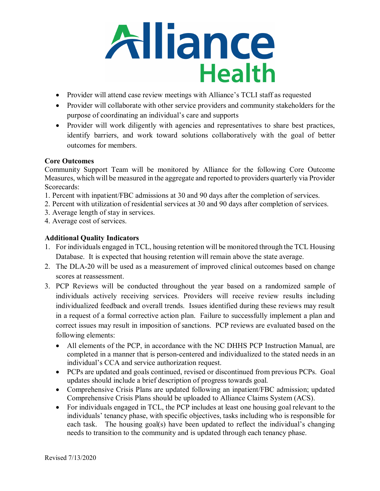

- Provider will attend case review meetings with Alliance's TCLI staff as requested
- Provider will collaborate with other service providers and community stakeholders for the purpose of coordinating an individual's care and supports
- Provider will work diligently with agencies and representatives to share best practices, identify barriers, and work toward solutions collaboratively with the goal of better outcomes for members.

## **Core Outcomes**

Community Support Team will be monitored by Alliance for the following Core Outcome Measures, which will be measured in the aggregate and reported to providers quarterly via Provider Scorecards:

- 1. Percent with inpatient/FBC admissions at 30 and 90 days after the completion of services.
- 2. Percent with utilization of residential services at 30 and 90 days after completion of services.
- 3. Average length of stay in services.
- 4. Average cost of services.

## **Additional Quality Indicators**

- 1. For individuals engaged in TCL, housing retention will be monitored through the TCL Housing Database. It is expected that housing retention will remain above the state average.
- 2. The DLA-20 will be used as a measurement of improved clinical outcomes based on change scores at reassessment.
- 3. PCP Reviews will be conducted throughout the year based on a randomized sample of individuals actively receiving services. Providers will receive review results including individualized feedback and overall trends. Issues identified during these reviews may result in a request of a formal corrective action plan. Failure to successfully implement a plan and correct issues may result in imposition of sanctions. PCP reviews are evaluated based on the following elements:
	- All elements of the PCP, in accordance with the NC DHHS PCP Instruction Manual, are completed in a manner that is person-centered and individualized to the stated needs in an individual's CCA and service authorization request.
	- PCPs are updated and goals continued, revised or discontinued from previous PCPs. Goal updates should include a brief description of progress towards goal.
	- Comprehensive Crisis Plans are updated following an inpatient/FBC admission; updated Comprehensive Crisis Plans should be uploaded to Alliance Claims System (ACS).
	- For individuals engaged in TCL, the PCP includes at least one housing goal relevant to the individuals' tenancy phase, with specific objectives, tasks including who is responsible for each task. The housing goal(s) have been updated to reflect the individual's changing needs to transition to the community and is updated through each tenancy phase.